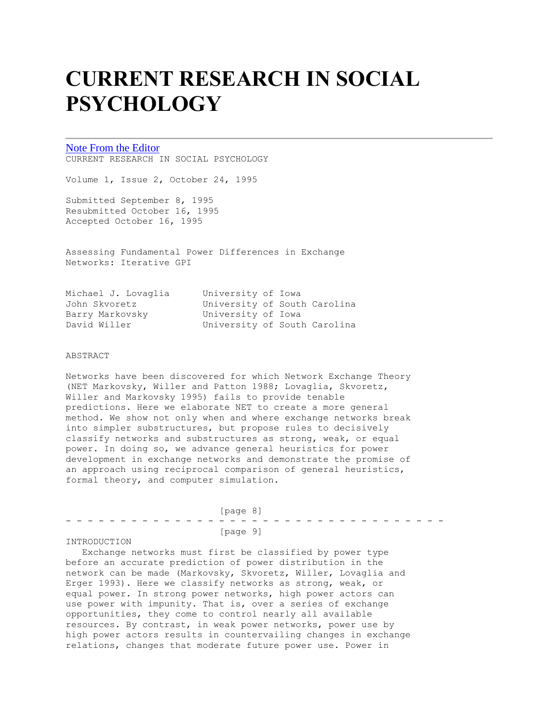# **CURRENT RESEARCH IN SOCIAL PSYCHOLOGY**

# [Note From the Editor](http://www.uiowa.edu/~grpproc/crisp/crisp.ednote.1.2.html)

CURRENT RESEARCH IN SOCIAL PSYCHOLOGY

Volume 1, Issue 2, October 24, 1995

Submitted September 8, 1995 Resubmitted October 16, 1995 Accepted October 16, 1995

Assessing Fundamental Power Differences in Exchange Networks: Iterative GPI

| Michael J. Lovaglia | University of Iowa           |  |  |
|---------------------|------------------------------|--|--|
| John Skvoretz       | University of South Carolina |  |  |
| Barry Markovsky     | University of Iowa           |  |  |
| David Willer        | University of South Carolina |  |  |

#### ABSTRACT

Networks have been discovered for which Network Exchange Theory (NET Markovsky, Willer and Patton 1988; Lovaglia, Skvoretz, Willer and Markovsky 1995) fails to provide tenable predictions. Here we elaborate NET to create a more general method. We show not only when and where exchange networks break into simpler substructures, but propose rules to decisively classify networks and substructures as strong, weak, or equal power. In doing so, we advance general heuristics for power development in exchange networks and demonstrate the promise of an approach using reciprocal comparison of general heuristics, formal theory, and computer simulation.

 [page 8] - - - - - - - - - - - - - - - - - - - - - - - - - - - - - - - - - - - [page 9]

# INTRODUCTION

 Exchange networks must first be classified by power type before an accurate prediction of power distribution in the network can be made (Markovsky, Skvoretz, Willer, Lovaglia and Erger 1993). Here we classify networks as strong, weak, or equal power. In strong power networks, high power actors can use power with impunity. That is, over a series of exchange opportunities, they come to control nearly all available resources. By contrast, in weak power networks, power use by high power actors results in countervailing changes in exchange relations, changes that moderate future power use. Power in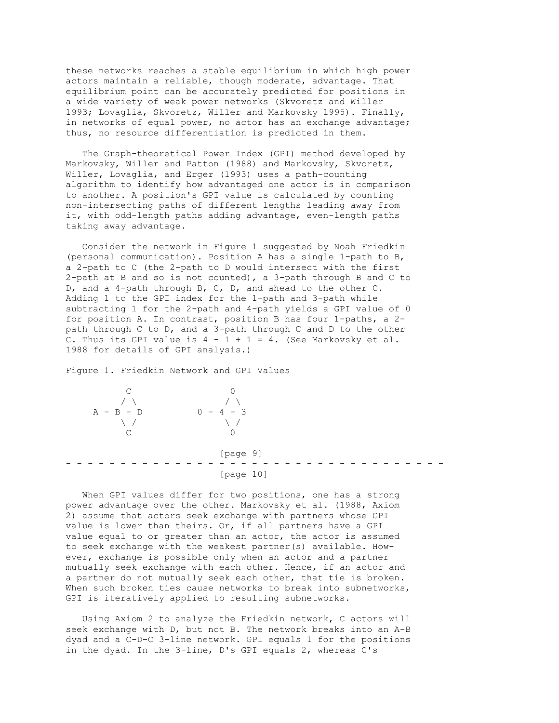these networks reaches a stable equilibrium in which high power actors maintain a reliable, though moderate, advantage. That equilibrium point can be accurately predicted for positions in a wide variety of weak power networks (Skvoretz and Willer 1993; Lovaglia, Skvoretz, Willer and Markovsky 1995). Finally, in networks of equal power, no actor has an exchange advantage; thus, no resource differentiation is predicted in them.

 The Graph-theoretical Power Index (GPI) method developed by Markovsky, Willer and Patton (1988) and Markovsky, Skvoretz, Willer, Lovaglia, and Erger (1993) uses a path-counting algorithm to identify how advantaged one actor is in comparison to another. A position's GPI value is calculated by counting non-intersecting paths of different lengths leading away from it, with odd-length paths adding advantage, even-length paths taking away advantage.

 Consider the network in Figure 1 suggested by Noah Friedkin (personal communication). Position A has a single 1-path to B, a 2-path to C (the 2-path to D would intersect with the first 2-path at B and so is not counted), a 3-path through B and C to D, and a 4-path through B, C, D, and ahead to the other C. Adding 1 to the GPI index for the 1-path and 3-path while subtracting 1 for the 2-path and 4-path yields a GPI value of 0 for position A. In contrast, position B has four 1-paths, a 2 path through C to D, and a 3-path through C and D to the other C. Thus its GPI value is  $4 - 1 + 1 = 4$ . (See Markovsky et al. 1988 for details of GPI analysis.)

Figure 1. Friedkin Network and GPI Values



 When GPI values differ for two positions, one has a strong power advantage over the other. Markovsky et al. (1988, Axiom 2) assume that actors seek exchange with partners whose GPI value is lower than theirs. Or, if all partners have a GPI value equal to or greater than an actor, the actor is assumed to seek exchange with the weakest partner(s) available. However, exchange is possible only when an actor and a partner mutually seek exchange with each other. Hence, if an actor and a partner do not mutually seek each other, that tie is broken. When such broken ties cause networks to break into subnetworks, GPI is iteratively applied to resulting subnetworks.

 Using Axiom 2 to analyze the Friedkin network, C actors will seek exchange with D, but not B. The network breaks into an A-B dyad and a C-D-C 3-line network. GPI equals 1 for the positions in the dyad. In the 3-line, D's GPI equals 2, whereas C's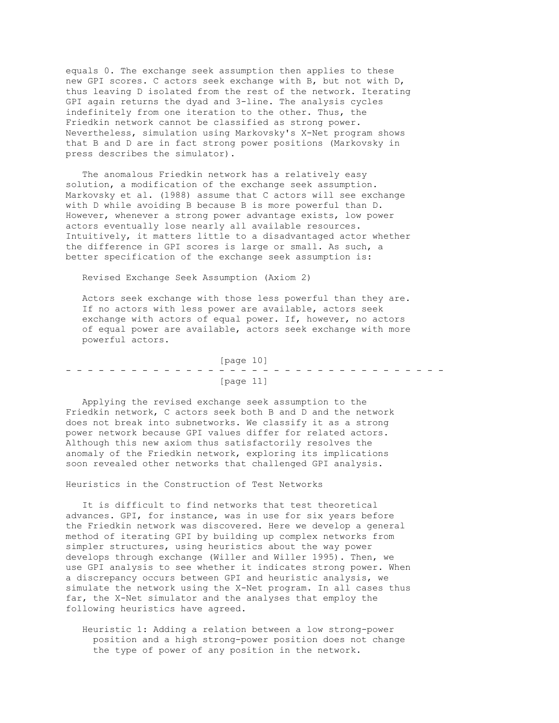equals 0. The exchange seek assumption then applies to these new GPI scores. C actors seek exchange with B, but not with D, thus leaving D isolated from the rest of the network. Iterating GPI again returns the dyad and 3-line. The analysis cycles indefinitely from one iteration to the other. Thus, the Friedkin network cannot be classified as strong power. Nevertheless, simulation using Markovsky's X-Net program shows that B and D are in fact strong power positions (Markovsky in press describes the simulator).

 The anomalous Friedkin network has a relatively easy solution, a modification of the exchange seek assumption. Markovsky et al. (1988) assume that C actors will see exchange with D while avoiding B because B is more powerful than D. However, whenever a strong power advantage exists, low power actors eventually lose nearly all available resources. Intuitively, it matters little to a disadvantaged actor whether the difference in GPI scores is large or small. As such, a better specification of the exchange seek assumption is:

Revised Exchange Seek Assumption (Axiom 2)

 Actors seek exchange with those less powerful than they are. If no actors with less power are available, actors seek exchange with actors of equal power. If, however, no actors of equal power are available, actors seek exchange with more powerful actors.

 [page 10] - - - - - - - - - - - - - - - - - - - - - - - - - - - - - - - - - - - [page 11]

 Applying the revised exchange seek assumption to the Friedkin network, C actors seek both B and D and the network does not break into subnetworks. We classify it as a strong power network because GPI values differ for related actors. Although this new axiom thus satisfactorily resolves the anomaly of the Friedkin network, exploring its implications soon revealed other networks that challenged GPI analysis.

Heuristics in the Construction of Test Networks

 It is difficult to find networks that test theoretical advances. GPI, for instance, was in use for six years before the Friedkin network was discovered. Here we develop a general method of iterating GPI by building up complex networks from simpler structures, using heuristics about the way power develops through exchange (Willer and Willer 1995). Then, we use GPI analysis to see whether it indicates strong power. When a discrepancy occurs between GPI and heuristic analysis, we simulate the network using the X-Net program. In all cases thus far, the X-Net simulator and the analyses that employ the following heuristics have agreed.

 Heuristic 1: Adding a relation between a low strong-power position and a high strong-power position does not change the type of power of any position in the network.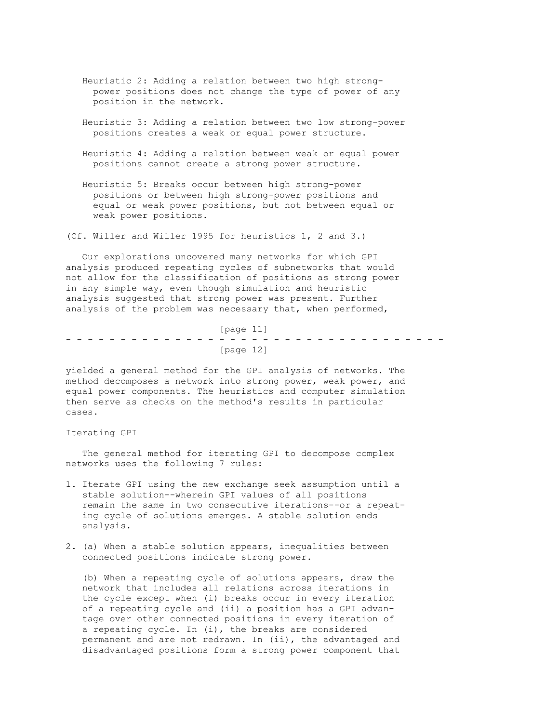- Heuristic 2: Adding a relation between two high strong power positions does not change the type of power of any position in the network.
- Heuristic 3: Adding a relation between two low strong-power positions creates a weak or equal power structure.
- Heuristic 4: Adding a relation between weak or equal power positions cannot create a strong power structure.
- Heuristic 5: Breaks occur between high strong-power positions or between high strong-power positions and equal or weak power positions, but not between equal or weak power positions.

(Cf. Willer and Willer 1995 for heuristics 1, 2 and 3.)

 Our explorations uncovered many networks for which GPI analysis produced repeating cycles of subnetworks that would not allow for the classification of positions as strong power in any simple way, even though simulation and heuristic analysis suggested that strong power was present. Further analysis of the problem was necessary that, when performed,

 [page 11] - - - - - - - - - - - - - - - - - - - - - - - - - - - - - - - - - - - [page 12]

yielded a general method for the GPI analysis of networks. The method decomposes a network into strong power, weak power, and equal power components. The heuristics and computer simulation then serve as checks on the method's results in particular cases.

## Iterating GPI

 The general method for iterating GPI to decompose complex networks uses the following 7 rules:

- 1. Iterate GPI using the new exchange seek assumption until a stable solution--wherein GPI values of all positions remain the same in two consecutive iterations--or a repeat ing cycle of solutions emerges. A stable solution ends analysis.
- 2. (a) When a stable solution appears, inequalities between connected positions indicate strong power.

 (b) When a repeating cycle of solutions appears, draw the network that includes all relations across iterations in the cycle except when (i) breaks occur in every iteration of a repeating cycle and (ii) a position has a GPI advan tage over other connected positions in every iteration of a repeating cycle. In (i), the breaks are considered permanent and are not redrawn. In (ii), the advantaged and disadvantaged positions form a strong power component that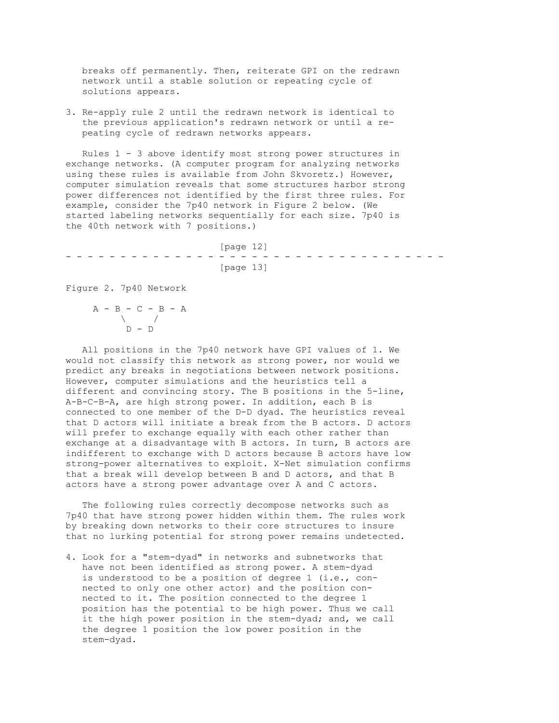breaks off permanently. Then, reiterate GPI on the redrawn network until a stable solution or repeating cycle of solutions appears.

3. Re-apply rule 2 until the redrawn network is identical to the previous application's redrawn network or until a re peating cycle of redrawn networks appears.

 Rules 1 - 3 above identify most strong power structures in exchange networks. (A computer program for analyzing networks using these rules is available from John Skvoretz.) However, computer simulation reveals that some structures harbor strong power differences not identified by the first three rules. For example, consider the 7p40 network in Figure 2 below. (We started labeling networks sequentially for each size. 7p40 is the 40th network with 7 positions.)

 [page 12] - - - - - - - - - - - - - - - - - - - - - - - - - - - - - - - - - - - [page 13]

Figure 2. 7p40 Network

 $A - B - C - B - A$  $\lambda$  /  $D - D$ 

 All positions in the 7p40 network have GPI values of 1. We would not classify this network as strong power, nor would we predict any breaks in negotiations between network positions. However, computer simulations and the heuristics tell a different and convincing story. The B positions in the 5-line, A-B-C-B-A, are high strong power. In addition, each B is connected to one member of the D-D dyad. The heuristics reveal that D actors will initiate a break from the B actors. D actors will prefer to exchange equally with each other rather than exchange at a disadvantage with B actors. In turn, B actors are indifferent to exchange with D actors because B actors have low strong-power alternatives to exploit. X-Net simulation confirms that a break will develop between B and D actors, and that B actors have a strong power advantage over A and C actors.

 The following rules correctly decompose networks such as 7p40 that have strong power hidden within them. The rules work by breaking down networks to their core structures to insure that no lurking potential for strong power remains undetected.

4. Look for a "stem-dyad" in networks and subnetworks that have not been identified as strong power. A stem-dyad is understood to be a position of degree 1 (i.e., con nected to only one other actor) and the position con nected to it. The position connected to the degree 1 position has the potential to be high power. Thus we call it the high power position in the stem-dyad; and, we call the degree 1 position the low power position in the stem-dyad.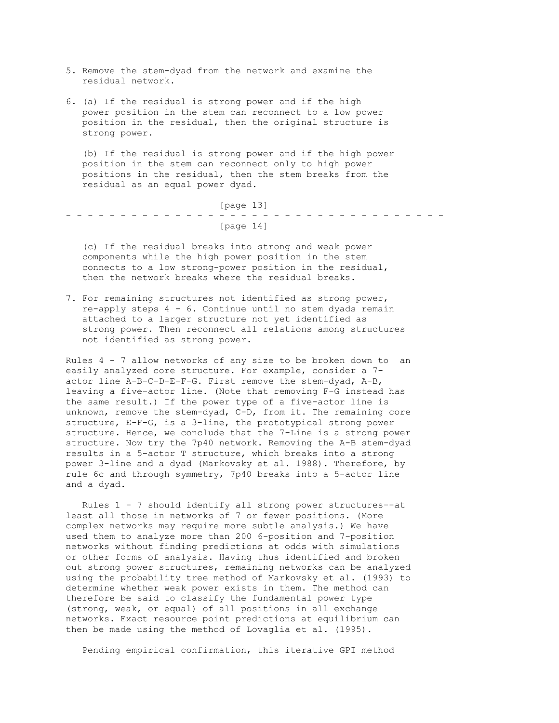- 5. Remove the stem-dyad from the network and examine the residual network.
- 6. (a) If the residual is strong power and if the high power position in the stem can reconnect to a low power position in the residual, then the original structure is strong power.

 (b) If the residual is strong power and if the high power position in the stem can reconnect only to high power positions in the residual, then the stem breaks from the residual as an equal power dyad.

 [page 13] - - - - - - - - - - - - - - - - - - - - - - - - - - - - - - - - - - - [page 14]

 (c) If the residual breaks into strong and weak power components while the high power position in the stem connects to a low strong-power position in the residual, then the network breaks where the residual breaks.

7. For remaining structures not identified as strong power, re-apply steps 4 - 6. Continue until no stem dyads remain attached to a larger structure not yet identified as strong power. Then reconnect all relations among structures not identified as strong power.

Rules 4 - 7 allow networks of any size to be broken down to an easily analyzed core structure. For example, consider a 7 actor line A-B-C-D-E-F-G. First remove the stem-dyad, A-B, leaving a five-actor line. (Note that removing F-G instead has the same result.) If the power type of a five-actor line is unknown, remove the stem-dyad, C-D, from it. The remaining core structure, E-F-G, is a 3-line, the prototypical strong power structure. Hence, we conclude that the 7-Line is a strong power structure. Now try the 7p40 network. Removing the A-B stem-dyad results in a 5-actor T structure, which breaks into a strong power 3-line and a dyad (Markovsky et al. 1988). Therefore, by rule 6c and through symmetry, 7p40 breaks into a 5-actor line and a dyad.

 Rules 1 - 7 should identify all strong power structures--at least all those in networks of 7 or fewer positions. (More complex networks may require more subtle analysis.) We have used them to analyze more than 200 6-position and 7-position networks without finding predictions at odds with simulations or other forms of analysis. Having thus identified and broken out strong power structures, remaining networks can be analyzed using the probability tree method of Markovsky et al. (1993) to determine whether weak power exists in them. The method can therefore be said to classify the fundamental power type (strong, weak, or equal) of all positions in all exchange networks. Exact resource point predictions at equilibrium can then be made using the method of Lovaglia et al. (1995).

Pending empirical confirmation, this iterative GPI method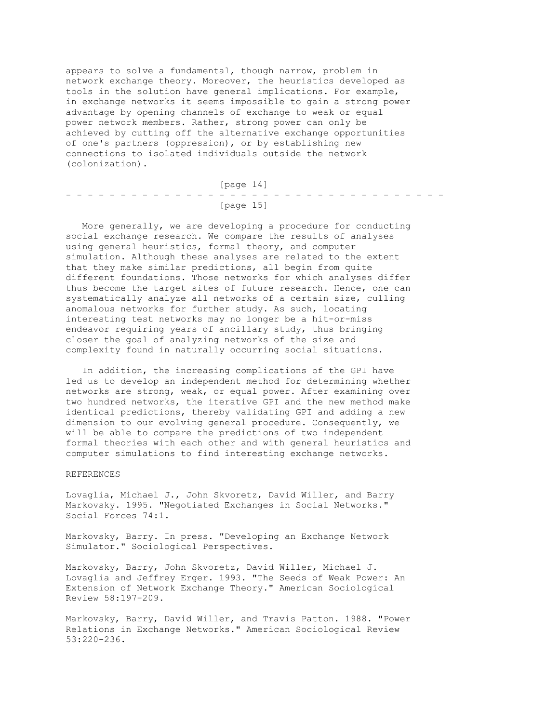appears to solve a fundamental, though narrow, problem in network exchange theory. Moreover, the heuristics developed as tools in the solution have general implications. For example, in exchange networks it seems impossible to gain a strong power advantage by opening channels of exchange to weak or equal power network members. Rather, strong power can only be achieved by cutting off the alternative exchange opportunities of one's partners (oppression), or by establishing new connections to isolated individuals outside the network (colonization).

 [page 14] - - - - - - - - - - - - - - - - - - - - - - - - - - - - - - - - - - - [page 15]

 More generally, we are developing a procedure for conducting social exchange research. We compare the results of analyses using general heuristics, formal theory, and computer simulation. Although these analyses are related to the extent that they make similar predictions, all begin from quite different foundations. Those networks for which analyses differ thus become the target sites of future research. Hence, one can systematically analyze all networks of a certain size, culling anomalous networks for further study. As such, locating interesting test networks may no longer be a hit-or-miss endeavor requiring years of ancillary study, thus bringing closer the goal of analyzing networks of the size and complexity found in naturally occurring social situations.

 In addition, the increasing complications of the GPI have led us to develop an independent method for determining whether networks are strong, weak, or equal power. After examining over two hundred networks, the iterative GPI and the new method make identical predictions, thereby validating GPI and adding a new dimension to our evolving general procedure. Consequently, we will be able to compare the predictions of two independent formal theories with each other and with general heuristics and computer simulations to find interesting exchange networks.

#### REFERENCES

Lovaglia, Michael J., John Skvoretz, David Willer, and Barry Markovsky. 1995. "Negotiated Exchanges in Social Networks." Social Forces 74:1.

Markovsky, Barry. In press. "Developing an Exchange Network Simulator." Sociological Perspectives.

Markovsky, Barry, John Skvoretz, David Willer, Michael J. Lovaglia and Jeffrey Erger. 1993. "The Seeds of Weak Power: An Extension of Network Exchange Theory." American Sociological Review 58:197-209.

Markovsky, Barry, David Willer, and Travis Patton. 1988. "Power Relations in Exchange Networks." American Sociological Review 53:220-236.